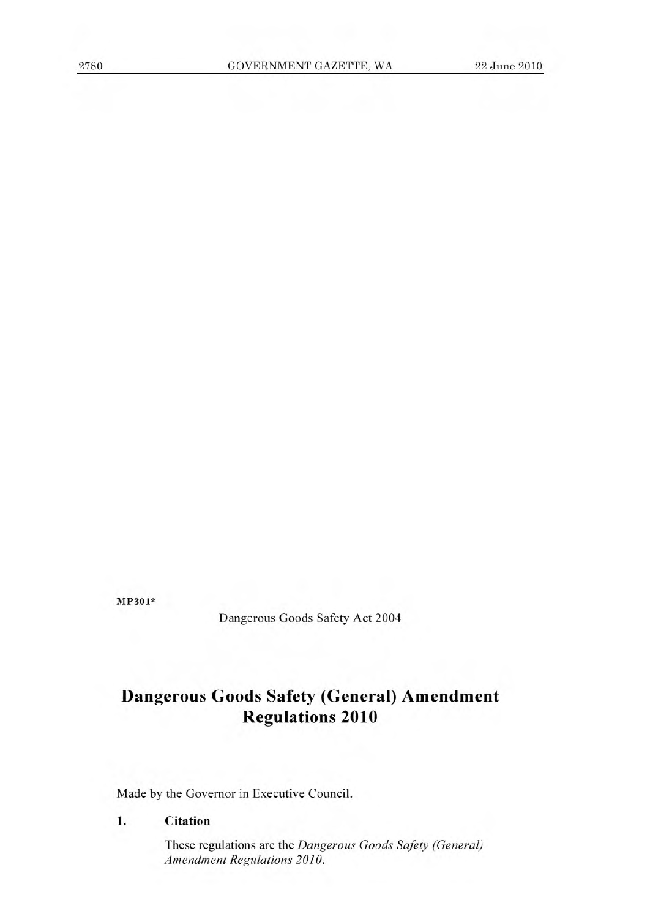MP301\*

Dangerous Goods Safety Act 2004

# **Dangerous Goods Safety (General) Amendment Regulations 2010**

Made by the Governor in Executive Council.

# **1. Citation**

These regulations are the *Dangerous Goods Safety (General) Amendment Regulations 2010.*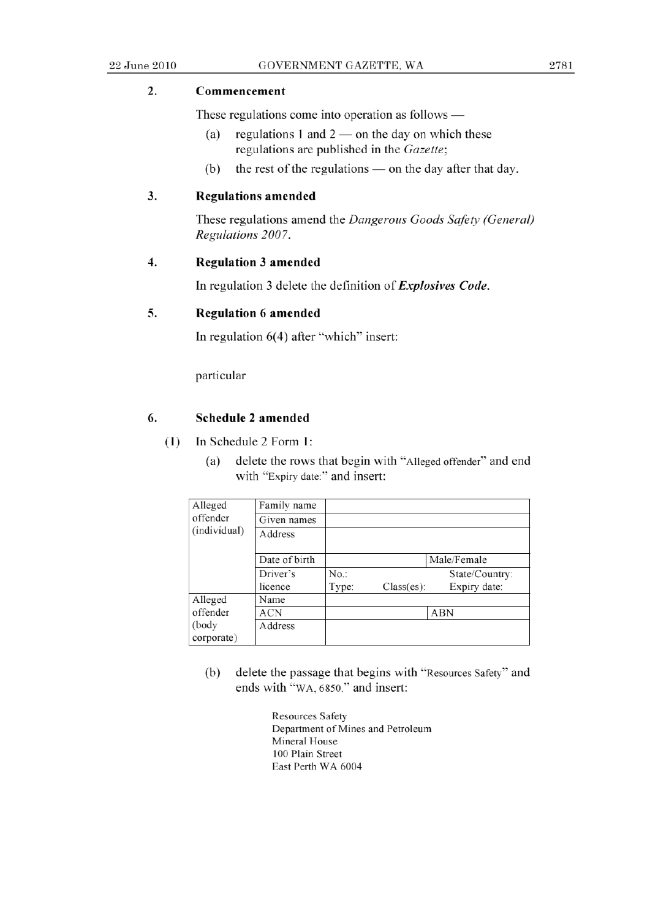# 2. **Commencement**

These regulations come into operation as follows  $-\frac{1}{2}$ 

- (a) regulations 1 and  $2$  on the day on which these regulations are published in the *Gazette;*
- (b) the rest of the regulations  $-$  on the day after that day.

## **3. Regulations amended**

*These regulations amend the Dangerous Goods Safely (General) Regulations 2007.* 

#### 4. Regulation 3 amended

In regulation 3 delete the definition *of Explosives Code.* 

### **5. Regulation 6 amended**

In regulation 6(4) after "which" insert:

particular

#### **6. Schedule** 2 **amended**

- **(1)** In Schedule 2 Form 1:
	- (a) delete the rows that begin with "Alleged offender" and end with "Expiry date:" and insert:

| Alleged<br>offender<br>(individual) | Family name   |       |            |                |  |
|-------------------------------------|---------------|-------|------------|----------------|--|
|                                     | Given names   |       |            |                |  |
|                                     | Address       |       |            |                |  |
|                                     |               |       |            |                |  |
|                                     | Date of birth |       |            | Male/Female    |  |
|                                     | Driver's      | No.   |            | State/Country: |  |
|                                     | licence       | Type: | Class(es): | Expiry date:   |  |
| Alleged                             | Name          |       |            |                |  |
| offender                            | ACN           |       |            | ABN            |  |
| (body)                              | Address       |       |            |                |  |
| corporate)                          |               |       |            |                |  |

- (b) delete the passage that begins with "Resources Safety" and ends with "WA, *6850."* and insert:
	- Resources Safety Department of Mines and Petroleum Mineral House 100 Plain Street East Perth WA 6004